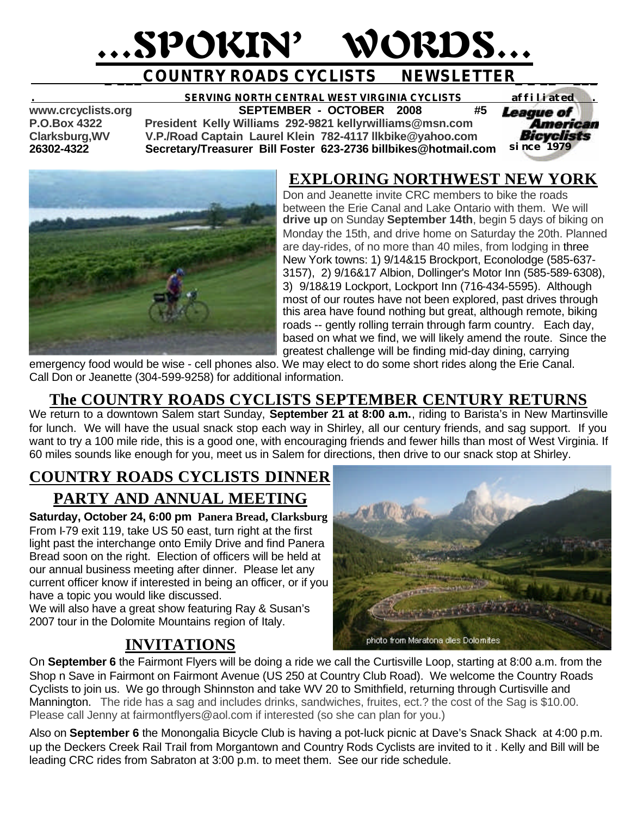# …SPOKIN' WORDS…

## **COUNTRY ROADS CYCLISTS NEWSLETTER**

#### **. SERVING NORTH CENTRAL WEST VIRGINIA CYCLISTS** *affiliated .*  **www.crcyclists.org SEPTEMBER - OCTOBER 2008 #5**

**P.O.Box 4322 President Kelly Williams 292-9821 kellyrwilliams@msn.com**

**Clarksburg,WV V.P./Road Captain Laurel Klein 782-4117 llkbike@yahoo.com 26302-4322 Secretary/Treasurer Bill Foster 623-2736 billbikes@hotmail.com** 





## **EXPLORING NORTHWEST NEW YORK**

Don and Jeanette invite CRC members to bike the roads between the Erie Canal and Lake Ontario with them. We will **drive up** on Sunday **September 14th**, begin 5 days of biking on Monday the 15th, and drive home on Saturday the 20th. Planned are day-rides, of no more than 40 miles, from lodging in three New York towns: 1) 9/14&15 Brockport, Econolodge (585-637- 3157), 2) 9/16&17 Albion, Dollinger's Motor Inn (585-589-6308), 3) 9/18&19 Lockport, Lockport Inn (716-434-5595). Although most of our routes have not been explored, past drives through this area have found nothing but great, although remote, biking roads -- gently rolling terrain through farm country. Each day, based on what we find, we will likely amend the route. Since the greatest challenge will be finding mid-day dining, carrying

emergency food would be wise - cell phones also. We may elect to do some short rides along the Erie Canal. Call Don or Jeanette (304-599-9258) for additional information.

## **The COUNTRY ROADS CYCLISTS SEPTEMBER CENTURY RETURNS**

We return to a downtown Salem start Sunday, **September 21 at 8:00 a.m.**, riding to Barista's in New Martinsville for lunch. We will have the usual snack stop each way in Shirley, all our century friends, and sag support. If you want to try a 100 mile ride, this is a good one, with encouraging friends and fewer hills than most of West Virginia. If 60 miles sounds like enough for you, meet us in Salem for directions, then drive to our snack stop at Shirley.

## **COUNTRY ROADS CYCLISTS DINNER PARTY AND ANNUAL MEETING**

**Saturday, October 24, 6:00 pm Panera Bread, Clarksburg** From I-79 exit 119, take US 50 east, turn right at the first light past the interchange onto Emily Drive and find Panera Bread soon on the right. Election of officers will be held at our annual business meeting after dinner. Please let any current officer know if interested in being an officer, or if you have a topic you would like discussed.

We will also have a great show featuring Ray & Susan's 2007 tour in the Dolomite Mountains region of Italy.

## **INVITATIONS**



On **September 6** the Fairmont Flyers will be doing a ride we call the Curtisville Loop, starting at 8:00 a.m. from the Shop n Save in Fairmont on Fairmont Avenue (US 250 at Country Club Road). We welcome the Country Roads Cyclists to join us. We go through Shinnston and take WV 20 to Smithfield, returning through Curtisville and Mannington. The ride has a sag and includes drinks, sandwiches, fruites, ect.? the cost of the Sag is \$10.00. Please call Jenny at fairmontflyers@aol.com if interested (so she can plan for you.)

Also on **September 6** the Monongalia Bicycle Club is having a pot-luck picnic at Dave's Snack Shack at 4:00 p.m. up the Deckers Creek Rail Trail from Morgantown and Country Rods Cyclists are invited to it . Kelly and Bill will be leading CRC rides from Sabraton at 3:00 p.m. to meet them. See our ride schedule.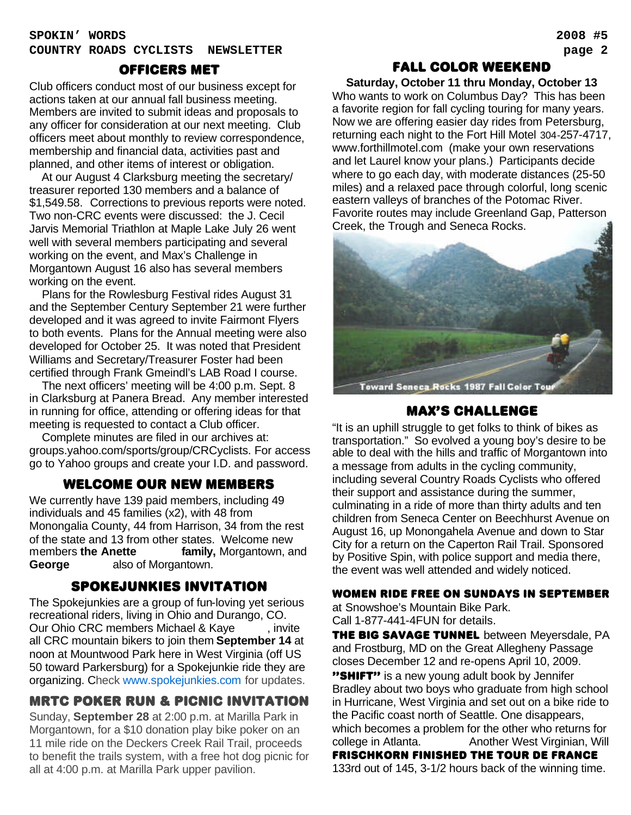#### **SPOKIN' WORDS 2008 #5 COUNTRY ROADS CYCLISTS NEWSLETTER page 2**

#### officers met

Club officers conduct most of our business except for actions taken at our annual fall business meeting. Members are invited to submit ideas and proposals to any officer for consideration at our next meeting. Club officers meet about monthly to review correspondence, membership and financial data, activities past and planned, and other items of interest or obligation.

 At our August 4 Clarksburg meeting the secretary/ treasurer reported 130 members and a balance of \$1,549.58. Corrections to previous reports were noted. Two non-CRC events were discussed: the J. Cecil Jarvis Memorial Triathlon at Maple Lake July 26 went well with several members participating and several working on the event, and Max's Challenge in Morgantown August 16 also has several members working on the event.

 Plans for the Rowlesburg Festival rides August 31 and the September Century September 21 were further developed and it was agreed to invite Fairmont Flyers to both events. Plans for the Annual meeting were also developed for October 25. It was noted that President Williams and Secretary/Treasurer Foster had been certified through Frank Gmeindl's LAB Road I course.

 The next officers' meeting will be 4:00 p.m. Sept. 8 in Clarksburg at Panera Bread. Any member interested in running for office, attending or offering ideas for that meeting is requested to contact a Club officer.

 Complete minutes are filed in our archives at: groups.yahoo.com/sports/group/CRCyclists. For access go to Yahoo groups and create your I.D. and password.

## WELCOME OUR NEW MEMBERS

We currently have 139 paid members, including 49 individuals and 45 families (x2), with 48 from Monongalia County, 44 from Harrison, 34 from the rest of the state and 13 from other states. Welcome new members **the Anette Family, Morgantown, and George** also of Morgantown.

#### spokejunkies invitation

The Spokejunkies are a group of fun-loving yet serious recreational riders, living in Ohio and Durango, CO. Our Ohio CRC members Michael & Kaye finvite all CRC mountain bikers to join them **September 14** at noon at Mountwood Park here in West Virginia (off US 50 toward Parkersburg) for a Spokejunkie ride they are organizing. Check www.spokejunkies.com for updates.

## MRTC POKER RUN & picnic INVITATION

Sunday, **September 28** at 2:00 p.m. at Marilla Park in Morgantown, for a \$10 donation play bike poker on an 11 mile ride on the Deckers Creek Rail Trail, proceeds to benefit the trails system, with a free hot dog picnic for all at 4:00 p.m. at Marilla Park upper pavilion.

## FALL COLOR WEEKEND

**Saturday, October 11 thru Monday, October 13** Who wants to work on Columbus Day? This has been a favorite region for fall cycling touring for many years. Now we are offering easier day rides from Petersburg, returning each night to the Fort Hill Motel 304-257-4717, www.forthillmotel.com (make your own reservations and let Laurel know your plans.) Participants decide where to go each day, with moderate distances (25-50 miles) and a relaxed pace through colorful, long scenic eastern valleys of branches of the Potomac River. Favorite routes may include Greenland Gap, Patterson Creek, the Trough and Seneca Rocks.



Toward Seneca Rocks 1987 Fall Color Tour

## MAX'S CHALLENGE

"It is an uphill struggle to get folks to think of bikes as transportation." So evolved a young boy's desire to be able to deal with the hills and traffic of Morgantown into a message from adults in the cycling community, including several Country Roads Cyclists who offered their support and assistance during the summer, culminating in a ride of more than thirty adults and ten children from Seneca Center on Beechhurst Avenue on August 16, up Monongahela Avenue and down to Star City for a return on the Caperton Rail Trail. Sponsored by Positive Spin, with police support and media there, the event was well attended and widely noticed.

#### WOMEN RIDE FREE ON SUNDAYS in september

at Snowshoe's Mountain Bike Park. Call 1-877-441-4FUN for details.

THE BIG SAVAGE TUNNEL between Meyersdale, PA and Frostburg, MD on the Great Allegheny Passage closes December 12 and re-opens April 10, 2009.

"SHIFT" is a new young adult book by Jennifer Bradley about two boys who graduate from high school in Hurricane, West Virginia and set out on a bike ride to the Pacific coast north of Seattle. One disappears, which becomes a problem for the other who returns for college in Atlanta. Another West Virginian, Will

### FRISCHKORN FINISHED THE Tour de france

133rd out of 145, 3-1/2 hours back of the winning time.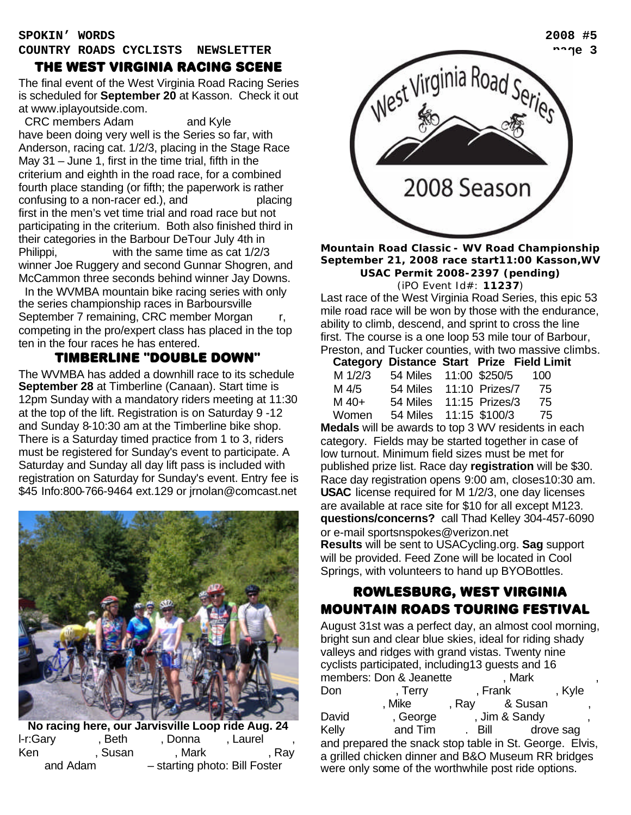## THE WEST VIRGINIA RACING SCENE

The final event of the West Virginia Road Racing Series is scheduled for **September 20** at Kasson. Check it out at www.iplayoutside.com.

CRC members Adam and Kyle have been doing very well is the Series so far, with Anderson, racing cat. 1/2/3, placing in the Stage Race May 31 – June 1, first in the time trial, fifth in the criterium and eighth in the road race, for a combined fourth place standing (or fifth; the paperwork is rather  $contusing to a non-racer ed.)$ , and  $\underline{\qquad}$  placing first in the men's vet time trial and road race but not participating in the criterium. Both also finished third in their categories in the Barbour DeTour July 4th in Philippi,  $\frac{1}{2}$  with the same time as cat  $\frac{1}{2}$ winner Joe Ruggery and second Gunnar Shogren, and McCammon three seconds behind winner Jay Downs.

In the WVMBA mountain bike racing series with only the series championship races in Barboursville September 7 remaining, CRC member Morgan competing in the pro/expert class has placed in the top ten in the four races he has entered.

## Timberline "Double Down"

The WVMBA has added a downhill race to its schedule **September 28** at Timberline (Canaan). Start time is 12pm Sunday with a mandatory riders meeting at 11:30 at the top of the lift. Registration is on Saturday 9 -12 and Sunday 8-10:30 am at the Timberline bike shop. There is a Saturday timed practice from 1 to 3, riders must be registered for Sunday's event to participate. A Saturday and Sunday all day lift pass is included with registration on Saturday for Sunday's event. Entry fee is \$45 Info:800-766-9464 ext.129 or jrnolan@comcast.net



**No racing here, our Jarvisville Loop ride Aug. 24** l-r:Gary , Beth , Donna , Laurel Ken Parkington, Susan Parkington, Mark Pallotta, Pallotta, Ray and Adam – starting photo: Bill Foster



#### **Mountain Road Classic - WV Road Championship September 21, 2008 race start11:00 Kasson,WV USAC Permit 2008-2397 (pending)** (iPO Event Id#: **11237**)

Last race of the West Virginia Road Series, this epic 53 mile road race will be won by those with the endurance, ability to climb, descend, and sprint to cross the line first. The course is a one loop 53 mile tour of Barbour, Preston, and Tucker counties, with two massive climbs.

|         |                           |  | <b>Category Distance Start Prize Field Limit</b> |
|---------|---------------------------|--|--------------------------------------------------|
| M 1/2/3 | 54 Miles 11:00 \$250/5    |  | -100                                             |
| M 4/5   | 54 Miles  11:10  Prizes/7 |  | - 75                                             |
| $M$ 40+ | 54 Miles  11:15  Prizes/3 |  | 75                                               |
| Women   | 54 Miles 11:15 \$100/3    |  | 75                                               |

**Medals** will be awards to top 3 WV residents in each category. Fields may be started together in case of low turnout. Minimum field sizes must be met for published prize list. Race day **registration** will be \$30. Race day registration opens 9:00 am, closes10:30 am. **USAC** license required for M 1/2/3, one day licenses are available at race site for \$10 for all except M123. **questions/concerns?** call Thad Kelley 304-457-6090 or e-mail sportsnspokes@verizon.net **Results** will be sent to USACycling.org. **Sag** support will be provided. Feed Zone will be located in Cool Springs, with volunteers to hand up BYOBottles.

## ROWLESBURG, WEST VIRGINIA MOUNTAIN ROADS TOURING FESTIVAL

August 31st was a perfect day, an almost cool morning, bright sun and clear blue skies, ideal for riding shady valleys and ridges with grand vistas. Twenty nine cyclists participated, including13 guests and 16 members: Don & Jeanette (Mark Don Ferry Frank Gon Mike , Ray & Susan David , George , Jim & Sandy Kelly and Tim Bill drove sag and prepared the snack stop table in St. George. Elvis, a grilled chicken dinner and B&O Museum RR bridges were only some of the worthwhile post ride options.